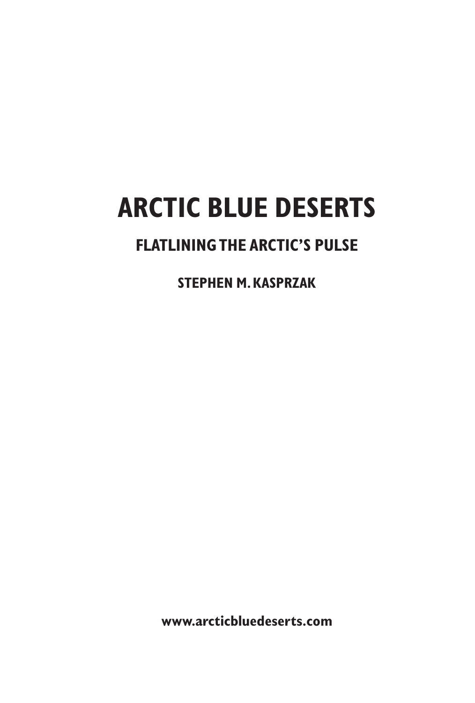# **ARCTIC BLUE DESERTS**

## **FLATLINING THE ARCTIC'S PULSE**

**STEPHEN M. KASPRZAK**

**www.arcticbluedeserts.com**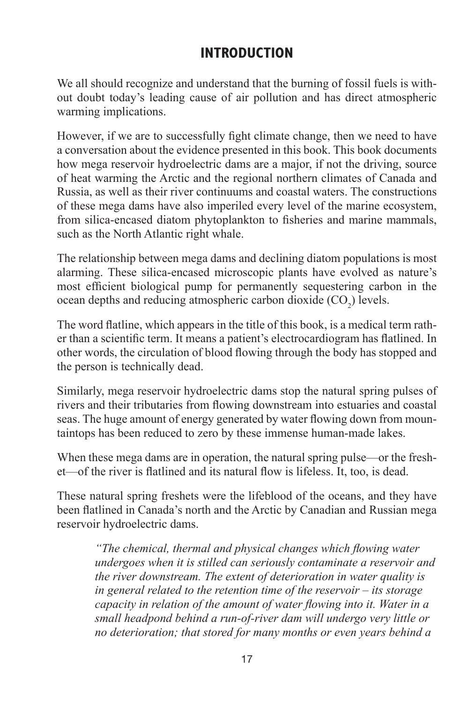## **INTRODUCTION**

We all should recognize and understand that the burning of fossil fuels is without doubt today's leading cause of air pollution and has direct atmospheric warming implications.

However, if we are to successfully fight climate change, then we need to have a conversation about the evidence presented in this book. This book documents how mega reservoir hydroelectric dams are a major, if not the driving, source of heat warming the Arctic and the regional northern climates of Canada and Russia, as well as their river continuums and coastal waters. The constructions of these mega dams have also imperiled every level of the marine ecosystem, from silica-encased diatom phytoplankton to fisheries and marine mammals, such as the North Atlantic right whale.

The relationship between mega dams and declining diatom populations is most alarming. These silica-encased microscopic plants have evolved as nature's most efficient biological pump for permanently sequestering carbon in the ocean depths and reducing atmospheric carbon dioxide  $(CO_2)$  levels.

The word flatline, which appears in the title of this book, is a medical term rather than a scientific term. It means a patient's electrocardiogram has flatlined. In other words, the circulation of blood flowing through the body has stopped and the person is technically dead.

Similarly, mega reservoir hydroelectric dams stop the natural spring pulses of rivers and their tributaries from flowing downstream into estuaries and coastal seas. The huge amount of energy generated by water flowing down from mountaintops has been reduced to zero by these immense human-made lakes.

When these mega dams are in operation, the natural spring pulse—or the freshet—of the river is flatlined and its natural flow is lifeless. It, too, is dead.

These natural spring freshets were the lifeblood of the oceans, and they have been flatlined in Canada's north and the Arctic by Canadian and Russian mega reservoir hydroelectric dams.

*"The chemical, thermal and physical changes which flowing water undergoes when it is stilled can seriously contaminate a reservoir and the river downstream. The extent of deterioration in water quality is in general related to the retention time of the reservoir – its storage capacity in relation of the amount of water flowing into it. Water in a small headpond behind a run-of-river dam will undergo very little or no deterioration; that stored for many months or even years behind a*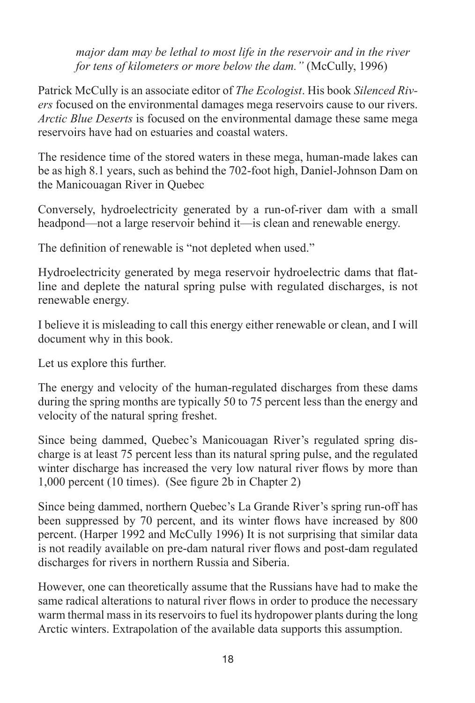*major dam may be lethal to most life in the reservoir and in the river for tens of kilometers or more below the dam.*" (McCully, 1996)

Patrick McCully is an associate editor of *The Ecologist*. His book *Silenced Rivers* focused on the environmental damages mega reservoirs cause to our rivers. *Arctic Blue Deserts* is focused on the environmental damage these same mega reservoirs have had on estuaries and coastal waters.

The residence time of the stored waters in these mega, human-made lakes can be as high 8.1 years, such as behind the 702-foot high, Daniel-Johnson Dam on the Manicouagan River in Quebec

Conversely, hydroelectricity generated by a run-of-river dam with a small headpond—not a large reservoir behind it—is clean and renewable energy.

The definition of renewable is "not depleted when used."

Hydroelectricity generated by mega reservoir hydroelectric dams that flatline and deplete the natural spring pulse with regulated discharges, is not renewable energy.

I believe it is misleading to call this energy either renewable or clean, and I will document why in this book.

Let us explore this further.

The energy and velocity of the human-regulated discharges from these dams during the spring months are typically 50 to 75 percent less than the energy and velocity of the natural spring freshet.

Since being dammed, Quebec's Manicouagan River's regulated spring discharge is at least 75 percent less than its natural spring pulse, and the regulated winter discharge has increased the very low natural river flows by more than 1,000 percent (10 times). (See figure 2b in Chapter 2)

Since being dammed, northern Quebec's La Grande River's spring run-off has been suppressed by 70 percent, and its winter flows have increased by 800 percent. (Harper 1992 and McCully 1996) It is not surprising that similar data is not readily available on pre-dam natural river flows and post-dam regulated discharges for rivers in northern Russia and Siberia.

However, one can theoretically assume that the Russians have had to make the same radical alterations to natural river flows in order to produce the necessary warm thermal mass in its reservoirs to fuel its hydropower plants during the long Arctic winters. Extrapolation of the available data supports this assumption.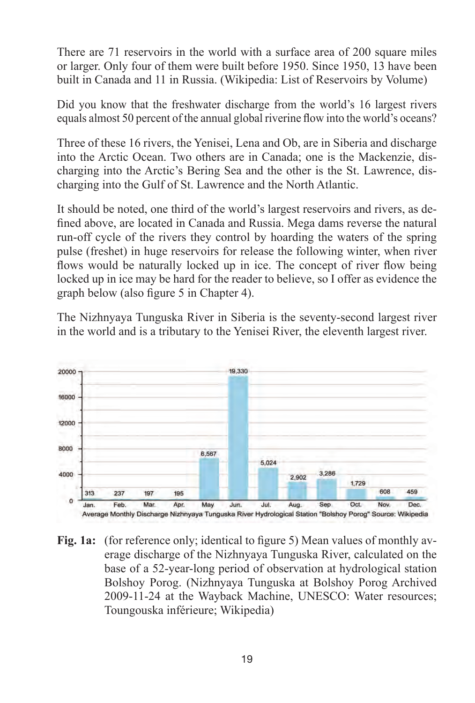There are 71 reservoirs in the world with a surface area of 200 square miles or larger. Only four of them were built before 1950. Since 1950, 13 have been built in Canada and 11 in Russia. (Wikipedia: List of Reservoirs by Volume)

Did you know that the freshwater discharge from the world's 16 largest rivers equals almost 50 percent of the annual global riverine flow into the world's oceans?

Three of these 16 rivers, the Yenisei, Lena and Ob, are in Siberia and discharge into the Arctic Ocean. Two others are in Canada; one is the Mackenzie, discharging into the Arctic's Bering Sea and the other is the St. Lawrence, discharging into the Gulf of St. Lawrence and the North Atlantic.

It should be noted, one third of the world's largest reservoirs and rivers, as defined above, are located in Canada and Russia. Mega dams reverse the natural run-off cycle of the rivers they control by hoarding the waters of the spring pulse (freshet) in huge reservoirs for release the following winter, when river flows would be naturally locked up in ice. The concept of river flow being locked up in ice may be hard for the reader to believe, so I offer as evidence the graph below (also figure 5 in Chapter 4).

The Nizhnyaya Tunguska River in Siberia is the seventy-second largest river in the world and is a tributary to the Yenisei River, the eleventh largest river.



**Fig. 1a:** (for reference only; identical to figure 5) Mean values of monthly average discharge of the Nizhnyaya Tunguska River, calculated on the base of a 52-year-long period of observation at hydrological station Bolshoy Porog. (Nizhnyaya Tunguska at Bolshoy Porog Archived 2009-11-24 at the Wayback Machine, UNESCO: Water resources; Toungouska inférieure; Wikipedia)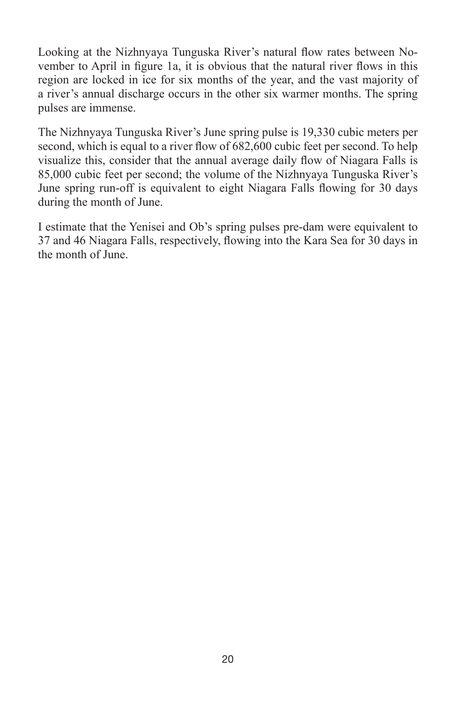Looking at the Nizhnyaya Tunguska River's natural flow rates between November to April in figure 1a, it is obvious that the natural river flows in this region are locked in ice for six months of the year, and the vast majority of a river's annual discharge occurs in the other six warmer months. The spring pulses are immense.

The Nizhnyaya Tunguska River's June spring pulse is 19,330 cubic meters per second, which is equal to a river flow of 682,600 cubic feet per second. To help visualize this, consider that the annual average daily flow of Niagara Falls is 85,000 cubic feet per second; the volume of the Nizhnyaya Tunguska River's June spring run-off is equivalent to eight Niagara Falls flowing for 30 days during the month of June.

I estimate that the Yenisei and Ob's spring pulses pre-dam were equivalent to 37 and 46 Niagara Falls, respectively, flowing into the Kara Sea for 30 days in the month of June.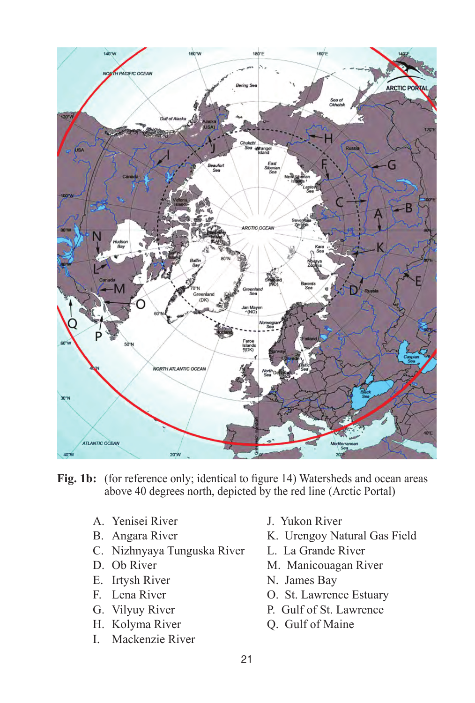

**Fig. 1b:** (for reference only; identical to figure 14) Watersheds and ocean areas above 40 degrees north, depicted by the red line (Arctic Portal)

- A. Yenisei River J. Yukon River
- 
- C. Nizhnyaya Tunguska River L. La Grande River
- 
- E. Irtysh River N. James Bay
- 
- 
- 
- I. Mackenzie River
- 
- B. Angara River K. Urengoy Natural Gas Field
	-
- D. Ob River M. Manicouagan River
	-
- F. Lena River O. St. Lawrence Estuary
- G. Vilyuy River P. Gulf of St. Lawrence
- H. Kolyma River Q. Gulf of Maine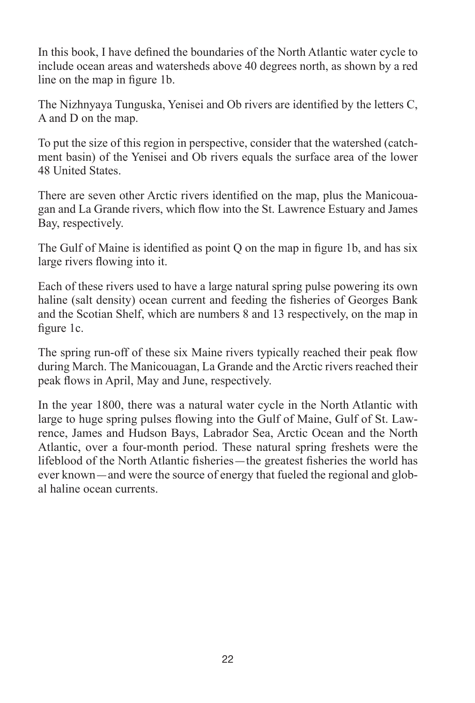In this book, I have defined the boundaries of the North Atlantic water cycle to include ocean areas and watersheds above 40 degrees north, as shown by a red line on the map in figure 1b.

The Nizhnyaya Tunguska, Yenisei and Ob rivers are identified by the letters C, A and D on the map.

To put the size of this region in perspective, consider that the watershed (catchment basin) of the Yenisei and Ob rivers equals the surface area of the lower 48 United States.

There are seven other Arctic rivers identified on the map, plus the Manicouagan and La Grande rivers, which flow into the St. Lawrence Estuary and James Bay, respectively.

The Gulf of Maine is identified as point Q on the map in figure 1b, and has six large rivers flowing into it.

Each of these rivers used to have a large natural spring pulse powering its own haline (salt density) ocean current and feeding the fisheries of Georges Bank and the Scotian Shelf, which are numbers 8 and 13 respectively, on the map in figure 1c.

The spring run-off of these six Maine rivers typically reached their peak flow during March. The Manicouagan, La Grande and the Arctic rivers reached their peak flows in April, May and June, respectively.

In the year 1800, there was a natural water cycle in the North Atlantic with large to huge spring pulses flowing into the Gulf of Maine, Gulf of St. Lawrence, James and Hudson Bays, Labrador Sea, Arctic Ocean and the North Atlantic, over a four-month period. These natural spring freshets were the lifeblood of the North Atlantic fisheries—the greatest fisheries the world has ever known—and were the source of energy that fueled the regional and global haline ocean currents.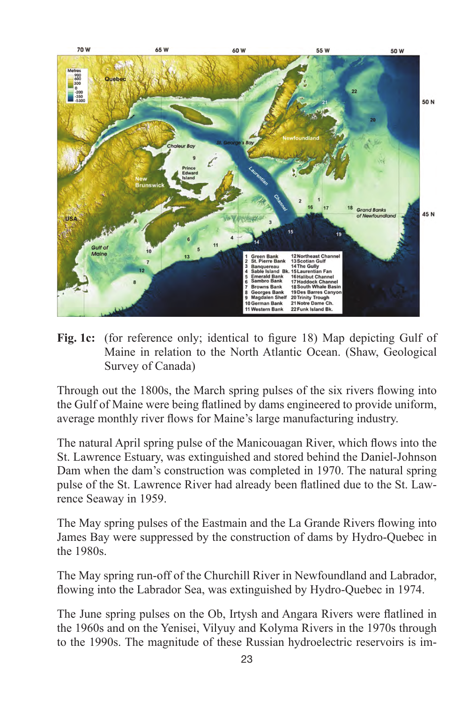

**Fig. 1c:** (for reference only; identical to figure 18) Map depicting Gulf of Maine in relation to the North Atlantic Ocean. (Shaw, Geological Survey of Canada)

Through out the 1800s, the March spring pulses of the six rivers flowing into the Gulf of Maine were being flatlined by dams engineered to provide uniform, average monthly river flows for Maine's large manufacturing industry.

The natural April spring pulse of the Manicouagan River, which flows into the St. Lawrence Estuary, was extinguished and stored behind the Daniel-Johnson Dam when the dam's construction was completed in 1970. The natural spring pulse of the St. Lawrence River had already been flatlined due to the St. Lawrence Seaway in 1959.

The May spring pulses of the Eastmain and the La Grande Rivers flowing into James Bay were suppressed by the construction of dams by Hydro-Quebec in the 1980s.

The May spring run-off of the Churchill River in Newfoundland and Labrador, flowing into the Labrador Sea, was extinguished by Hydro-Quebec in 1974.

The June spring pulses on the Ob, Irtysh and Angara Rivers were flatlined in the 1960s and on the Yenisei, Vilyuy and Kolyma Rivers in the 1970s through to the 1990s. The magnitude of these Russian hydroelectric reservoirs is im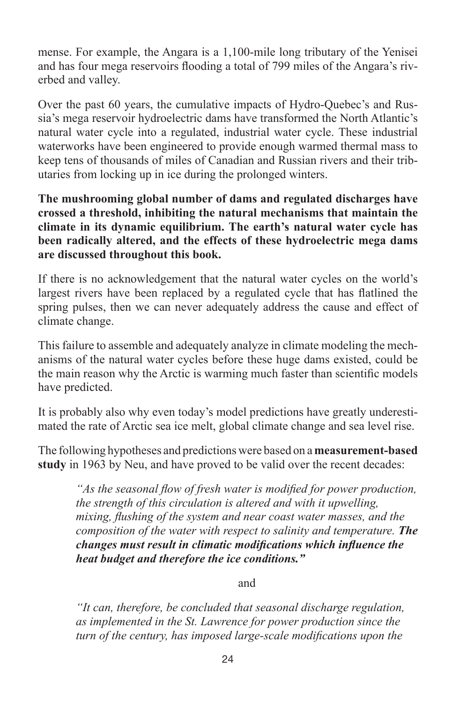mense. For example, the Angara is a 1,100-mile long tributary of the Yenisei and has four mega reservoirs flooding a total of 799 miles of the Angara's riverbed and valley.

Over the past 60 years, the cumulative impacts of Hydro-Quebec's and Russia's mega reservoir hydroelectric dams have transformed the North Atlantic's natural water cycle into a regulated, industrial water cycle. These industrial waterworks have been engineered to provide enough warmed thermal mass to keep tens of thousands of miles of Canadian and Russian rivers and their tributaries from locking up in ice during the prolonged winters.

**The mushrooming global number of dams and regulated discharges have crossed a threshold, inhibiting the natural mechanisms that maintain the climate in its dynamic equilibrium. The earth's natural water cycle has been radically altered, and the effects of these hydroelectric mega dams are discussed throughout this book.**

If there is no acknowledgement that the natural water cycles on the world's largest rivers have been replaced by a regulated cycle that has flatlined the spring pulses, then we can never adequately address the cause and effect of climate change.

This failure to assemble and adequately analyze in climate modeling the mechanisms of the natural water cycles before these huge dams existed, could be the main reason why the Arctic is warming much faster than scientific models have predicted.

It is probably also why even today's model predictions have greatly underestimated the rate of Arctic sea ice melt, global climate change and sea level rise.

The following hypotheses and predictions were based on a **measurement-based study** in 1963 by Neu, and have proved to be valid over the recent decades:

*"As the seasonal flow of fresh water is modified for power production, the strength of this circulation is altered and with it upwelling, mixing, flushing of the system and near coast water masses, and the composition of the water with respect to salinity and temperature. The changes must result in climatic modifications which influence the heat budget and therefore the ice conditions."*

and

*"It can, therefore, be concluded that seasonal discharge regulation, as implemented in the St. Lawrence for power production since the turn of the century, has imposed large-scale modifications upon the*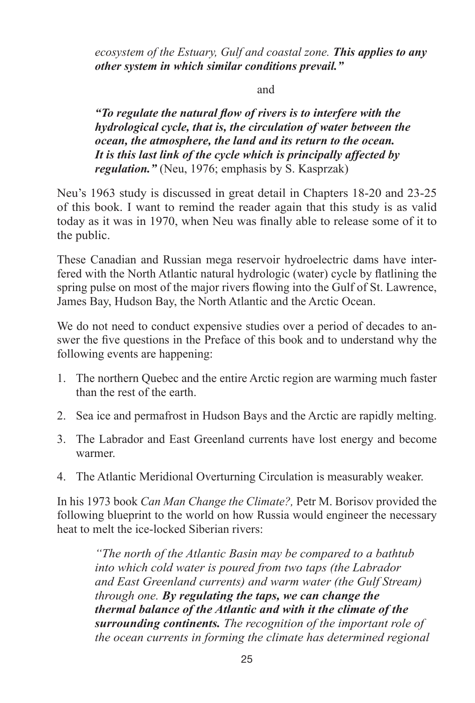*ecosystem of the Estuary, Gulf and coastal zone. This applies to any other system in which similar conditions prevail."*

#### and

*"To regulate the natural flow of rivers is to interfere with the hydrological cycle, that is, the circulation of water between the ocean, the atmosphere, the land and its return to the ocean. It is this last link of the cycle which is principally affected by regulation."* (Neu, 1976; emphasis by S. Kasprzak)

Neu's 1963 study is discussed in great detail in Chapters 18-20 and 23-25 of this book. I want to remind the reader again that this study is as valid today as it was in 1970, when Neu was finally able to release some of it to the public.

These Canadian and Russian mega reservoir hydroelectric dams have interfered with the North Atlantic natural hydrologic (water) cycle by flatlining the spring pulse on most of the major rivers flowing into the Gulf of St. Lawrence, James Bay, Hudson Bay, the North Atlantic and the Arctic Ocean.

We do not need to conduct expensive studies over a period of decades to answer the five questions in the Preface of this book and to understand why the following events are happening:

- 1. The northern Quebec and the entire Arctic region are warming much faster than the rest of the earth.
- 2. Sea ice and permafrost in Hudson Bays and the Arctic are rapidly melting.
- 3. The Labrador and East Greenland currents have lost energy and become warmer.
- 4. The Atlantic Meridional Overturning Circulation is measurably weaker.

In his 1973 book *Can Man Change the Climate?,* Petr M. Borisov provided the following blueprint to the world on how Russia would engineer the necessary heat to melt the ice-locked Siberian rivers:

*"The north of the Atlantic Basin may be compared to a bathtub into which cold water is poured from two taps (the Labrador and East Greenland currents) and warm water (the Gulf Stream) through one. By regulating the taps, we can change the thermal balance of the Atlantic and with it the climate of the surrounding continents. The recognition of the important role of the ocean currents in forming the climate has determined regional*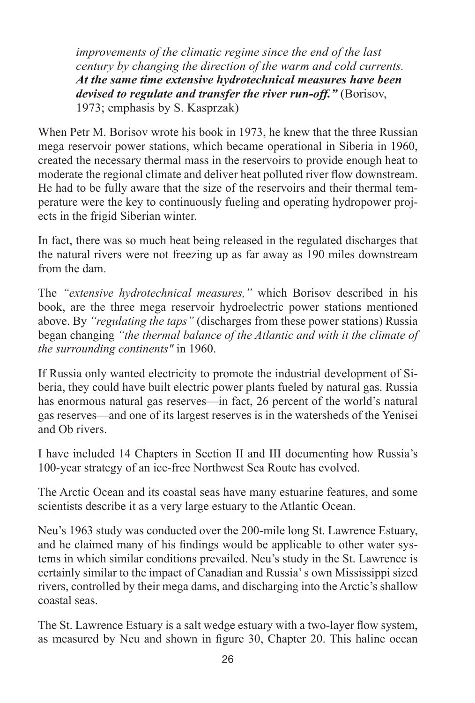*improvements of the climatic regime since the end of the last century by changing the direction of the warm and cold currents. At the same time extensive hydrotechnical measures have been devised to regulate and transfer the river run-off."* (Borisov, 1973; emphasis by S. Kasprzak)

When Petr M. Borisov wrote his book in 1973, he knew that the three Russian mega reservoir power stations, which became operational in Siberia in 1960, created the necessary thermal mass in the reservoirs to provide enough heat to moderate the regional climate and deliver heat polluted river flow downstream. He had to be fully aware that the size of the reservoirs and their thermal temperature were the key to continuously fueling and operating hydropower projects in the frigid Siberian winter.

In fact, there was so much heat being released in the regulated discharges that the natural rivers were not freezing up as far away as 190 miles downstream from the dam.

The *"extensive hydrotechnical measures,"* which Borisov described in his book, are the three mega reservoir hydroelectric power stations mentioned above. By *"regulating the taps"* (discharges from these power stations) Russia began changing *"the thermal balance of the Atlantic and with it the climate of the surrounding continents"* in 1960.

If Russia only wanted electricity to promote the industrial development of Siberia, they could have built electric power plants fueled by natural gas. Russia has enormous natural gas reserves—in fact, 26 percent of the world's natural gas reserves—and one of its largest reserves is in the watersheds of the Yenisei and Ob rivers.

I have included 14 Chapters in Section II and III documenting how Russia's 100-year strategy of an ice-free Northwest Sea Route has evolved.

The Arctic Ocean and its coastal seas have many estuarine features, and some scientists describe it as a very large estuary to the Atlantic Ocean.

Neu's 1963 study was conducted over the 200-mile long St. Lawrence Estuary, and he claimed many of his findings would be applicable to other water systems in which similar conditions prevailed. Neu's study in the St. Lawrence is certainly similar to the impact of Canadian and Russia' s own Mississippi sized rivers, controlled by their mega dams, and discharging into the Arctic's shallow coastal seas.

The St. Lawrence Estuary is a salt wedge estuary with a two-layer flow system, as measured by Neu and shown in figure 30, Chapter 20. This haline ocean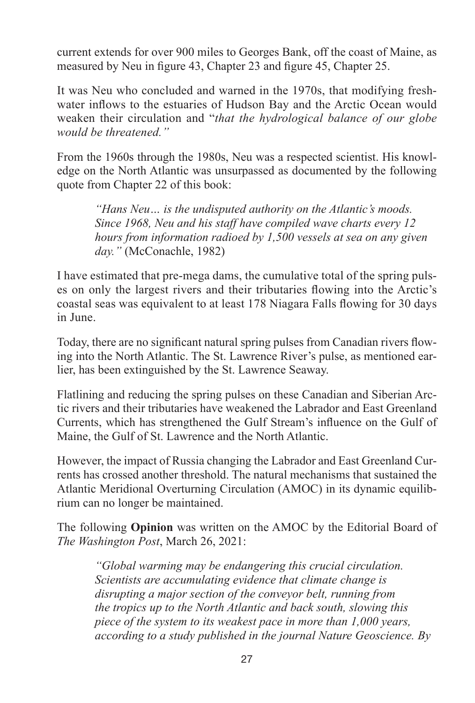current extends for over 900 miles to Georges Bank, off the coast of Maine, as measured by Neu in figure 43, Chapter 23 and figure 45, Chapter 25.

It was Neu who concluded and warned in the 1970s, that modifying freshwater inflows to the estuaries of Hudson Bay and the Arctic Ocean would weaken their circulation and "*that the hydrological balance of our globe would be threatened."*

From the 1960s through the 1980s, Neu was a respected scientist. His knowledge on the North Atlantic was unsurpassed as documented by the following quote from Chapter 22 of this book:

*"Hans Neu… is the undisputed authority on the Atlantic's moods. Since 1968, Neu and his staff have compiled wave charts every 12 hours from information radioed by 1,500 vessels at sea on any given day."* (McConachle, 1982)

I have estimated that pre-mega dams, the cumulative total of the spring pulses on only the largest rivers and their tributaries flowing into the Arctic's coastal seas was equivalent to at least 178 Niagara Falls flowing for 30 days in June.

Today, there are no significant natural spring pulses from Canadian rivers flowing into the North Atlantic. The St. Lawrence River's pulse, as mentioned earlier, has been extinguished by the St. Lawrence Seaway.

Flatlining and reducing the spring pulses on these Canadian and Siberian Arctic rivers and their tributaries have weakened the Labrador and East Greenland Currents, which has strengthened the Gulf Stream's influence on the Gulf of Maine, the Gulf of St. Lawrence and the North Atlantic.

However, the impact of Russia changing the Labrador and East Greenland Currents has crossed another threshold. The natural mechanisms that sustained the Atlantic Meridional Overturning Circulation (AMOC) in its dynamic equilibrium can no longer be maintained.

The following **Opinion** was written on the AMOC by the Editorial Board of *The Washington Post*, March 26, 2021:

*"Global warming may be endangering this crucial circulation. Scientists are accumulating evidence that climate change is disrupting a major section of the conveyor belt, running from the tropics up to the North Atlantic and back south, slowing this piece of the system to its weakest pace in more than 1,000 years, according to a study published in the journal Nature Geoscience. By*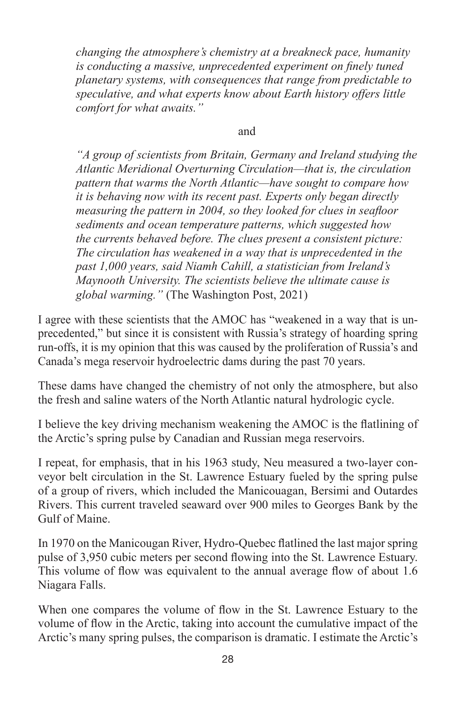*changing the atmosphere's chemistry at a breakneck pace, humanity is conducting a massive, unprecedented experiment on finely tuned planetary systems, with consequences that range from predictable to speculative, and what experts know about Earth history offers little comfort for what awaits."* 

### and

*"A group of scientists from Britain, Germany and Ireland studying the Atlantic Meridional Overturning Circulation—that is, the circulation pattern that warms the North Atlantic—have sought to compare how it is behaving now with its recent past. Experts only began directly measuring the pattern in 2004, so they looked for clues in seafloor sediments and ocean temperature patterns, which suggested how the currents behaved before. The clues present a consistent picture: The circulation has weakened in a way that is unprecedented in the past 1,000 years, said Niamh Cahill, a statistician from Ireland's Maynooth University. The scientists believe the ultimate cause is global warming."* (The Washington Post, 2021)

I agree with these scientists that the AMOC has "weakened in a way that is unprecedented," but since it is consistent with Russia's strategy of hoarding spring run-offs, it is my opinion that this was caused by the proliferation of Russia's and Canada's mega reservoir hydroelectric dams during the past 70 years.

These dams have changed the chemistry of not only the atmosphere, but also the fresh and saline waters of the North Atlantic natural hydrologic cycle.

I believe the key driving mechanism weakening the AMOC is the flatlining of the Arctic's spring pulse by Canadian and Russian mega reservoirs.

I repeat, for emphasis, that in his 1963 study, Neu measured a two-layer conveyor belt circulation in the St. Lawrence Estuary fueled by the spring pulse of a group of rivers, which included the Manicouagan, Bersimi and Outardes Rivers. This current traveled seaward over 900 miles to Georges Bank by the Gulf of Maine.

In 1970 on the Manicougan River, Hydro-Quebec flatlined the last major spring pulse of 3,950 cubic meters per second flowing into the St. Lawrence Estuary. This volume of flow was equivalent to the annual average flow of about 1.6 Niagara Falls.

When one compares the volume of flow in the St. Lawrence Estuary to the volume of flow in the Arctic, taking into account the cumulative impact of the Arctic's many spring pulses, the comparison is dramatic. I estimate the Arctic's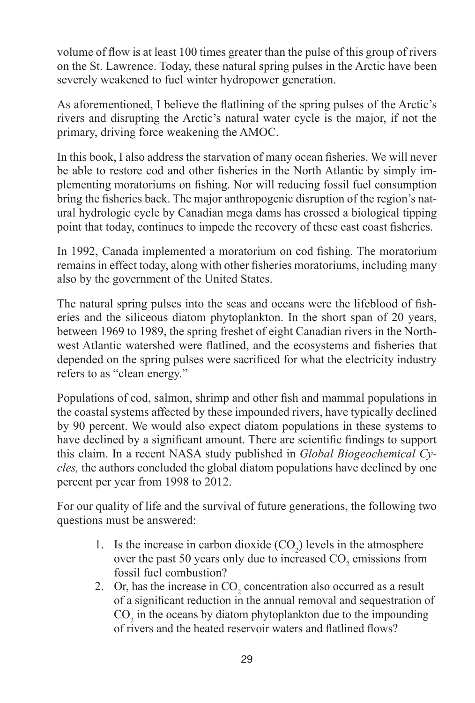volume of flow is at least 100 times greater than the pulse of this group of rivers on the St. Lawrence. Today, these natural spring pulses in the Arctic have been severely weakened to fuel winter hydropower generation.

As aforementioned, I believe the flatlining of the spring pulses of the Arctic's rivers and disrupting the Arctic's natural water cycle is the major, if not the primary, driving force weakening the AMOC.

In this book, I also address the starvation of many ocean fisheries. We will never be able to restore cod and other fisheries in the North Atlantic by simply implementing moratoriums on fishing. Nor will reducing fossil fuel consumption bring the fisheries back. The major anthropogenic disruption of the region's natural hydrologic cycle by Canadian mega dams has crossed a biological tipping point that today, continues to impede the recovery of these east coast fisheries.

In 1992, Canada implemented a moratorium on cod fishing. The moratorium remains in effect today, along with other fisheries moratoriums, including many also by the government of the United States.

The natural spring pulses into the seas and oceans were the lifeblood of fisheries and the siliceous diatom phytoplankton. In the short span of 20 years, between 1969 to 1989, the spring freshet of eight Canadian rivers in the Northwest Atlantic watershed were flatlined, and the ecosystems and fisheries that depended on the spring pulses were sacrificed for what the electricity industry refers to as "clean energy."

Populations of cod, salmon, shrimp and other fish and mammal populations in the coastal systems affected by these impounded rivers, have typically declined by 90 percent. We would also expect diatom populations in these systems to have declined by a significant amount. There are scientific findings to support this claim. In a recent NASA study published in *Global Biogeochemical Cycles,* the authors concluded the global diatom populations have declined by one percent per year from 1998 to 2012.

For our quality of life and the survival of future generations, the following two questions must be answered:

- 1. Is the increase in carbon dioxide  $(CO_2)$  levels in the atmosphere over the past 50 years only due to increased  $CO<sub>2</sub>$  emissions from fossil fuel combustion?
- 2. Or, has the increase in  $CO_2$  concentration also occurred as a result of a significant reduction in the annual removal and sequestration of  $CO<sub>2</sub>$  in the oceans by diatom phytoplankton due to the impounding of rivers and the heated reservoir waters and flatlined flows?